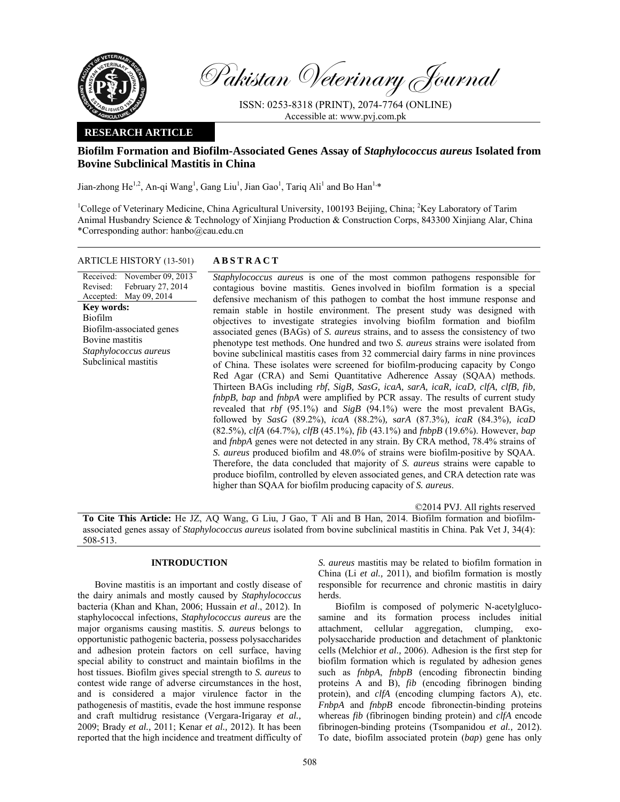

Pakistan Veterinary Journal

ISSN: 0253-8318 (PRINT), 2074-7764 (ONLINE) Accessible at: www.pvj.com.pk

# **RESEARCH ARTICLE**

# **Biofilm Formation and Biofilm-Associated Genes Assay of** *Staphylococcus aureus* **Isolated from Bovine Subclinical Mastitis in China**

Jian-zhong He<sup>1,2</sup>, An-qi Wang<sup>1</sup>, Gang Liu<sup>1</sup>, Jian Gao<sup>1</sup>, Tariq Ali<sup>1</sup> and Bo Han<sup>1,\*</sup>

<sup>1</sup>College of Veterinary Medicine, China Agricultural University, 100193 Beijing, China; <sup>2</sup>Key Laboratory of Tarim Animal Husbandry Science & Technology of Xinjiang Production & Construction Corps, 843300 Xinjiang Alar, China \*Corresponding author: hanbo@cau.edu.cn

# ARTICLE HISTORY (13-501) **ABSTRACT**

Received: Revised: Accepted: November 09, 2013 February 27, 2014 May 09, 2014 **Key words:**  Biofilm Biofilm-associated genes Bovine mastitis *Staphylococcus aureus*  Subclinical mastitis

*Staphylococcus aureus* is one of the most common pathogens responsible for contagious bovine mastitis. Genes involved in biofilm formation is a special defensive mechanism of this pathogen to combat the host immune response and remain stable in hostile environment. The present study was designed with objectives to investigate strategies involving biofilm formation and biofilm associated genes (BAGs) of *S. aureus* strains, and to assess the consistency of two phenotype test methods. One hundred and two *S. aureus* strains were isolated from bovine subclinical mastitis cases from 32 commercial dairy farms in nine provinces of China. These isolates were screened for biofilm-producing capacity by Congo Red Agar (CRA) and Semi Quantitative Adherence Assay (SQAA) methods. Thirteen BAGs including *rbf*, *SigB, SasG, icaA, sarA, icaR, icaD, clfA, clfB, fib, fnbpB, bap* and *fnbpA* were amplified by PCR assay. The results of current study revealed that *rbf* (95.1%) and *SigB* (94.1%) were the most prevalent BAGs, followed by *SasG* (89.2%), *icaA* (88.2%)*,* s*arA* (87.3%)*, icaR* (84.3%)*, icaD*  (82.5%)*, clfA* (64.7%)*, clfB* (45.1%), *fib* (43.1%) and *fnbpB* (19.6%). However, *bap* and *fnbpA* genes were not detected in any strain. By CRA method, 78.4% strains of *S. aureus* produced biofilm and 48.0% of strains were biofilm-positive by SQAA. Therefore, the data concluded that majority of *S. aureus* strains were capable to produce biofilm, controlled by eleven associated genes, and CRA detection rate was higher than SQAA for biofilm producing capacity of *S. aureus*.

©2014 PVJ. All rights reserved

**To Cite This Article:** He JZ, AQ Wang, G Liu, J Gao, T Ali and B Han, 2014. Biofilm formation and biofilmassociated genes assay of *Staphylococcus aureus* isolated from bovine subclinical mastitis in China. Pak Vet J, 34(4): 508-513.

# **INTRODUCTION**

Bovine mastitis is an important and costly disease of the dairy animals and mostly caused by *Staphylococcus*  bacteria (Khan and Khan, 2006; Hussain *et al*., 2012). In staphylococcal infections, *Staphylococcus aureus* are the major organisms causing mastitis. *S. aureus* belongs to opportunistic pathogenic bacteria, possess polysaccharides and adhesion protein factors on cell surface, having special ability to construct and maintain biofilms in the host tissues. Biofilm gives special strength to *S. aureus* to contest wide range of adverse circumstances in the host, and is considered a major virulence factor in the pathogenesis of mastitis, evade the host immune response and craft multidrug resistance (Vergara-Irigaray *et al.,* 2009; Brady *et al.,* 2011; Kenar *et al.,* 2012). It has been reported that the high incidence and treatment difficulty of *S. aureus* mastitis may be related to biofilm formation in China (Li *et al.,* 2011), and biofilm formation is mostly responsible for recurrence and chronic mastitis in dairy herds.

Biofilm is composed of polymeric N-acetylglucosamine and its formation process includes initial attachment, cellular aggregation, clumping, exopolysaccharide production and detachment of planktonic cells (Melchior *et al.,* 2006). Adhesion is the first step for biofilm formation which is regulated by adhesion genes such as *fnbpA*, *fnbpB* (encoding fibronectin binding proteins A and B), *fib* (encoding fibrinogen binding protein), and *clfA* (encoding clumping factors A), etc. *FnbpA* and *fnbpB* encode fibronectin-binding proteins whereas *fib* (fibrinogen binding protein) and *clfA* encode fibrinogen-binding proteins (Tsompanidou *et al.,* 2012). To date, biofilm associated protein (*bap*) gene has only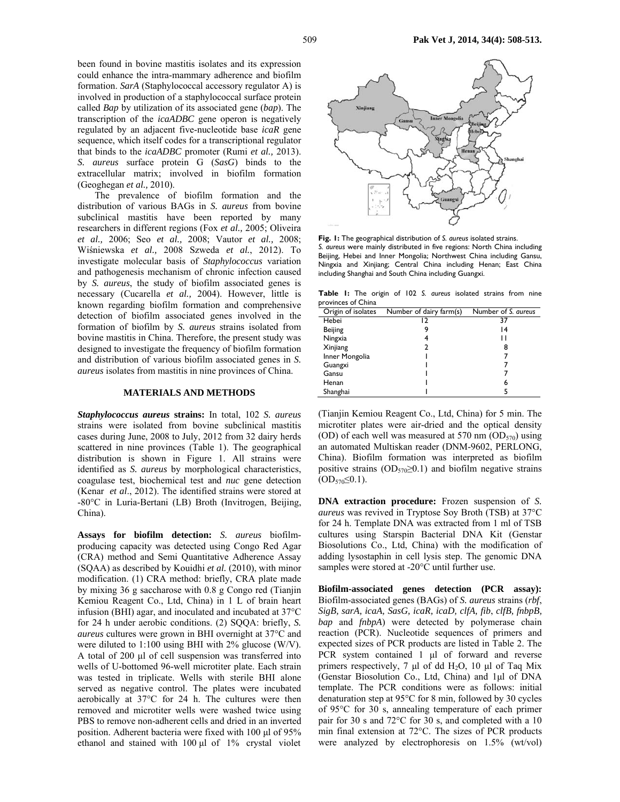been found in bovine mastitis isolates and its expression could enhance the intra-mammary adherence and biofilm formation. *SarA* (Staphylococcal accessory regulator A) is involved in production of a staphylococcal surface protein called *Bap* by utilization of its associated gene (*bap*). The transcription of the *icaADBC* gene operon is negatively regulated by an adjacent five-nucleotide base *icaR* gene sequence, which itself codes for a transcriptional regulator that binds to the *icaADBC* promoter (Rumi *et al.,* 2013). *S. aureus* surface protein G (*SasG*) binds to the extracellular matrix; involved in biofilm formation (Geoghegan *et al.,* 2010).

The prevalence of biofilm formation and the distribution of various BAGs in *S. aureus* from bovine subclinical mastitis have been reported by many researchers in different regions (Fox *et al.,* 2005; Oliveira *et al.,* 2006; Seo *et al.,* 2008; Vautor *et al.,* 2008; Wiśniewska *et al.,* 2008 Szweda *et al.*, 2012). To investigate molecular basis of *Staphylococcus* variation and pathogenesis mechanism of chronic infection caused by *S. aureus*, the study of biofilm associated genes is necessary (Cucarella *et al.,* 2004). However, little is known regarding biofilm formation and comprehensive detection of biofilm associated genes involved in the formation of biofilm by *S. aureus* strains isolated from bovine mastitis in China. Therefore, the present study was designed to investigate the frequency of biofilm formation and distribution of various biofilm associated genes in *S. aureus* isolates from mastitis in nine provinces of China.

#### **MATERIALS AND METHODS**

*Staphylococcus aureus* **strains:** In total, 102 *S. aureus* strains were isolated from bovine subclinical mastitis cases during June, 2008 to July, 2012 from 32 dairy herds scattered in nine provinces (Table 1). The geographical distribution is shown in Figure 1. All strains were identified as *S. aureus* by morphological characteristics, coagulase test, biochemical test and *nuc* gene detection (Kenar *et al*., 2012). The identified strains were stored at -80°C in Luria-Bertani (LB) Broth (Invitrogen, Beijing, China).

**Assays for biofilm detection:** *S. aureus* biofilmproducing capacity was detected using Congo Red Agar (CRA) method and Semi Quantitative Adherence Assay (SQAA) as described by Kouidhi *et al.* (2010), with minor modification. (1) CRA method: briefly, CRA plate made by mixing 36 g saccharose with 0.8 g Congo red (Tianjin Kemiou Reagent Co., Ltd, China) in 1 L of brain heart infusion (BHI) agar, and inoculated and incubated at 37°C for 24 h under aerobic conditions. (2) SQQA: briefly, *S. aureus* cultures were grown in BHI overnight at 37°C and were diluted to 1:100 using BHI with 2% glucose (W/V). A total of 200 µl of cell suspension was transferred into wells of U-bottomed 96-well microtiter plate. Each strain was tested in triplicate. Wells with sterile BHI alone served as negative control. The plates were incubated aerobically at 37°C for 24 h. The cultures were then removed and microtiter wells were washed twice using PBS to remove non-adherent cells and dried in an inverted position. Adherent bacteria were fixed with 100 µl of 95% ethanol and stained with 100 µl of 1% crystal violet



**Fig. 1:** The geographical distribution of *S. aureus* isolated strains. *S. aureus* were mainly distributed in five regions: North China including Beijing, Hebei and Inner Mongolia; Northwest China including Gansu, Ningxia and Xinjiang; Central China including Henan; East China including Shanghai and South China including Guangxi.

**Table 1:** The origin of 102 *S. aureus* isolated strains from nine provinces of China

| Origin of isolates | Number of dairy farm(s) | Number of S. aureus |
|--------------------|-------------------------|---------------------|
| Hebei              | 2                       | 37                  |
| Beijing            | 9                       | 14                  |
| Ningxia            |                         | ш                   |
| Xinjiang           | າ                       | 8                   |
| Inner Mongolia     |                         |                     |
| Guangxi            |                         |                     |
| Gansu              |                         |                     |
| Henan              |                         | 6                   |
| Shanghai           |                         |                     |

(Tianjin Kemiou Reagent Co., Ltd, China) for 5 min. The microtiter plates were air-dried and the optical density (OD) of each well was measured at 570 nm  $(OD_{570})$  using an automated Multiskan reader (DNM-9602, PERLONG, China). Biofilm formation was interpreted as biofilm positive strains ( $OD_{570} \ge 0.1$ ) and biofilm negative strains  $(OD_{570} \le 0.1).$ 

**DNA extraction procedure:** Frozen suspension of *S. aureus* was revived in Tryptose Soy Broth (TSB) at 37°C for 24 h. Template DNA was extracted from 1 ml of TSB cultures using Starspin Bacterial DNA Kit (Genstar Biosolutions Co., Ltd, China) with the modification of adding lysostaphin in cell lysis step. The genomic DNA samples were stored at -20°C until further use.

**Biofilm-associated genes detection (PCR assay):** Biofilm-associated genes (BAGs) of *S. aureus* strains (*rbf*, *SigB, sarA, icaA, SasG, icaR, icaD, clfA, fib*, *clfB, fnbpB, bap* and *fnbpA*) were detected by polymerase chain reaction (PCR). Nucleotide sequences of primers and expected sizes of PCR products are listed in Table 2. The PCR system contained 1 µl of forward and reverse primers respectively, 7  $\mu$ l of dd H<sub>2</sub>O, 10  $\mu$ l of Taq Mix (Genstar Biosolution Co., Ltd, China) and 1µl of DNA template. The PCR conditions were as follows: initial denaturation step at 95°C for 8 min, followed by 30 cycles of 95°C for 30 s, annealing temperature of each primer pair for 30 s and 72°C for 30 s, and completed with a 10 min final extension at 72°C. The sizes of PCR products were analyzed by electrophoresis on 1.5% (wt/vol)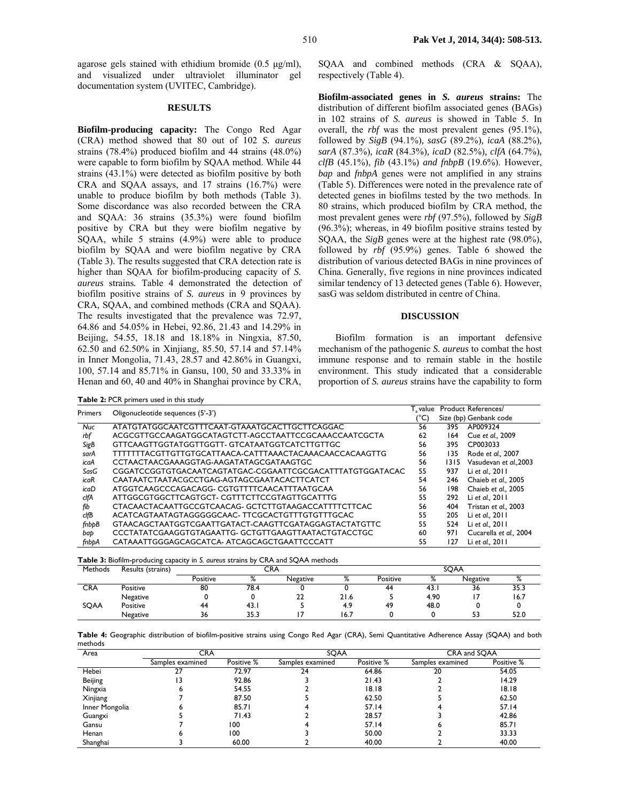agarose gels stained with ethidium bromide  $(0.5 \text{ µg/ml})$ , and visualized under ultraviolet illuminator gel documentation system (UVITEC, Cambridge).

# **RESULTS**

**Biofilm-producing capacity:** The Congo Red Agar (CRA) method showed that 80 out of 102 *S. aureus* strains (78.4%) produced biofilm and 44 strains (48.0%) were capable to form biofilm by SQAA method. While 44 strains (43.1%) were detected as biofilm positive by both CRA and SQAA assays, and 17 strains (16.7%) were unable to produce biofilm by both methods (Table 3). Some discordance was also recorded between the CRA and SQAA: 36 strains (35.3%) were found biofilm positive by CRA but they were biofilm negative by SQAA, while 5 strains (4.9%) were able to produce biofilm by SQAA and were biofilm negative by CRA (Table 3). The results suggested that CRA detection rate is higher than SQAA for biofilm-producing capacity of *S. aureus* strains*.* Table 4 demonstrated the detection of biofilm positive strains of *S. aureus* in 9 provinces by CRA, SQAA, and combined methods (CRA and SQAA). The results investigated that the prevalence was 72.97, 64.86 and 54.05% in Hebei, 92.86, 21.43 and 14.29% in Beijing, 54.55, 18.18 and 18.18% in Ningxia, 87.50, 62.50 and 62.50% in Xinjiang, 85.50, 57.14 and 57.14% in Inner Mongolia, 71.43, 28.57 and 42.86% in Guangxi, 100, 57.14 and 85.71% in Gansu, 100, 50 and 33.33% in Henan and 60, 40 and 40% in Shanghai province by CRA,

SOAA and combined methods (CRA & SOAA), respectively (Table 4).

**Biofilm-associated genes in** *S. aureus* **strains:** The distribution of different biofilm associated genes (BAGs) in 102 strains of *S. aureus* is showed in Table 5. In overall, the *rbf* was the most prevalent genes (95.1%), followed by *SigB* (94.1%)*, sasG* (89.2%)*, icaA* (88.2%)*, sarA* (87.3%)*, icaR* (84.3%)*, icaD* (82.5%)*, clfA* (64.7%)*, clfB* (45.1%), *fib* (43.1%) *and fnbpB* (19.6%). However, *bap* and *fnbpA* genes were not amplified in any strains (Table 5). Differences were noted in the prevalence rate of detected genes in biofilms tested by the two methods. In 80 strains, which produced biofilm by CRA method, the most prevalent genes were *rbf* (97.5%), followed by *SigB*  (96.3%); whereas, in 49 biofilm positive strains tested by SQAA, the *SigB* genes were at the highest rate (98.0%), followed by *rbf* (95.9%) genes. Table 6 showed the distribution of various detected BAGs in nine provinces of China. Generally, five regions in nine provinces indicated similar tendency of 13 detected genes (Table 6). However, sasG was seldom distributed in centre of China.

### **DISCUSSION**

Biofilm formation is an important defensive mechanism of the pathogenic *S. aureus* to combat the host immune response and to remain stable in the hostile environment. This study indicated that a considerable proportion of *S. aureus* strains have the capability to form

|            | Table 2: PCR primers used in this study                   |          |      |                        |
|------------|-----------------------------------------------------------|----------|------|------------------------|
| Primers    | Oligonucleotide sequences (5'-3')                         | T, value |      | Product References/    |
|            |                                                           | (°C)     |      | Size (bp) Genbank code |
| <b>Nuc</b> | ATATGTATGGCAATCGTTTCAAT-GTAAATGCACTTGCTTCAGGAC            | 56       | 395  | AP009324               |
| rbf        | ACGCGTTGCCAAGATGGCATAGTCTT-AGCCTAATTCCGCAAACCAATCGCTA     | 62       | 164  | Cue et al., 2009       |
| SigB       | GTTCAAGTTGGTATGGTTGGTT- GTCATAATGGTCATCTTGTTGC            | 56       | 395  | CP003033               |
| sarA       | TTTTTTTACGTTGTTGTGCATTAACA-CATTTAAACTACAAACAACCACAAGTTG   | 56       | 135  | Rode et al., 2007      |
| icaA       | CCTAACTAACGAAAGGTAG-AAGATATAGCGATAAGTGC                   | 56       | 1315 | Vasudevan et al., 2003 |
| SasG       | CGGATCCGGTGTGACAATCAGTATGAC-CGGAATTCGCGACATTTATGTGGATACAC | 55       | 937  | Li et al., 2011        |
| icaR       | CAATAATCTAATACGCCTGAG-AGTAGCGAATACACTTCATCT               | 54       | 246  | Chaieb et al., 2005    |
| icaD       | ATGGTCAAGCCCAGACAGG-CGTGTTTTCAACATTTAATGCAA               | 56       | 198  | Chaieb et al., 2005    |
| clfA       | ATTGGCGTGGCTTCAGTGCT- CGTTTCTTCCGTAGTTGCATTTG             | 55       | 292  | Li et al., 2011        |
| fib        | CTACAACTACAATTGCCGTCAACAG-GCTCTTGTAAGACCATTTTCTTCAC       | 56       | 404  | Tristan et al., 2003   |
| clfB       | ACATCAGTAATAGTAGGGGGCAAC-TTCGCACTGTTTGTGTTTGCAC           | 55       | 205  | Li et al., 2011        |
| fnbpB      | GTAACAGCTAATGGTCGAATTGATACT-CAAGTTCGATAGGAGTACTATGTTC     | 55       | 524  | Li et al., 2011        |
| bap        | CCCTATATCGAAGGTGTAGAATTG-GCTGTTGAAGTTAATACTGTACCTGC       | 60       | 971  | Cucarella et al., 2004 |
| fnbbA      | CATAAATTGGGAGCAGCATCA- ATCAGCAGCTGAATTCCCATT              | 55       | 127  | Li et al., 2011        |

|  |  |  | <b>Table 3:</b> Biofilm-producing capacity in S. aureus strains by CRA and SQAA methods |  |  |
|--|--|--|-----------------------------------------------------------------------------------------|--|--|
|--|--|--|-----------------------------------------------------------------------------------------|--|--|

| <b>Methods</b> | Results (strains) | CRA<br>SOAA |                     |          |      |          |                                |          |                                 |
|----------------|-------------------|-------------|---------------------|----------|------|----------|--------------------------------|----------|---------------------------------|
|                |                   | Positive    | $\mathsf{o}/$<br>70 | Negative | 70   | Positive | $\mathsf{o}$<br>$\sqrt{\circ}$ | Negative | $\mathbf{O}/$<br>$\sqrt{\circ}$ |
| <b>CRA</b>     | Positive          | 80          | 78.4                |          |      | 44       | - 43. .                        | 36       | 35.3                            |
|                | Negative          |             |                     | 22       | 21.6 |          | 4.90                           |          | 16.7                            |
| SQAA           | Positive          | 44          | 43. .               |          | 4.9  | 49       | 48.0                           |          |                                 |
|                | Negative          | 36          | 35.3                |          | 16.7 |          |                                | 53       | 52.0                            |

**Table 4:** Geographic distribution of biofilm-positive strains using Congo Red Agar (CRA), Semi Quantitative Adherence Assay (SQAA) and both methods

| Area           | <b>CRA</b>       |            | SQAA             |            | CRA and SQAA     |            |
|----------------|------------------|------------|------------------|------------|------------------|------------|
|                | Samples examined | Positive % | Samples examined | Positive % | Samples examined | Positive % |
| Hebei          |                  | 72.97      | 24               | 64.86      | 20               | 54.05      |
| Beijing        | 13               | 92.86      |                  | 21.43      |                  | 14.29      |
| Ningxia        |                  | 54.55      |                  | 18.18      |                  | 18.18      |
| Xinjiang       |                  | 87.50      |                  | 62.50      |                  | 62.50      |
| Inner Mongolia |                  | 85.71      |                  | 57.14      |                  | 57.14      |
| Guangxi        |                  | 71.43      |                  | 28.57      |                  | 42.86      |
| Gansu          |                  | 100        |                  | 57.14      |                  | 85.71      |
| Henan          |                  | 100        |                  | 50.00      |                  | 33.33      |
| Shanghai       |                  | 60.00      |                  | 40.00      |                  | 40.00      |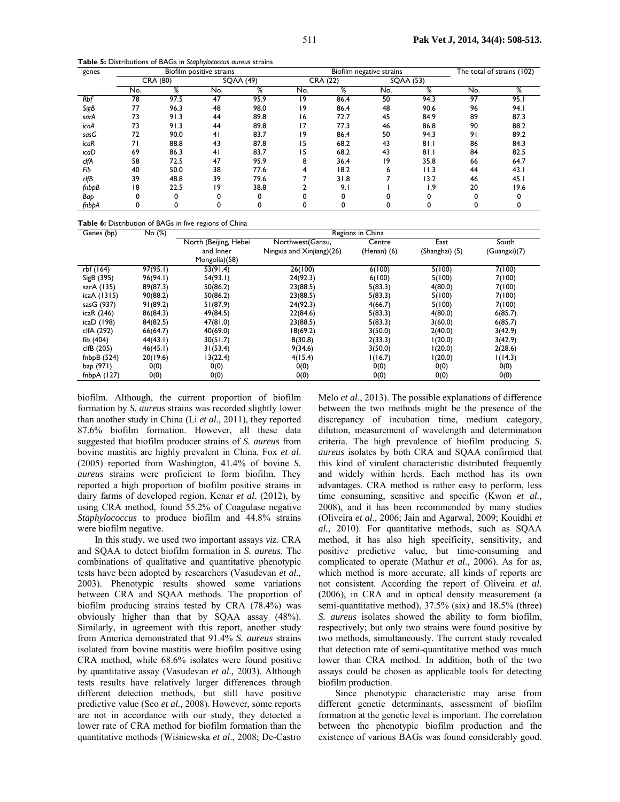**Table 5:** Distributions of BAGs in *Staphylococcus aureus* strains

| genes      |     | Biofilm positive strains |                |          |     | Biofilm negative strains |     |          |     | The total of strains (102) |  |
|------------|-----|--------------------------|----------------|----------|-----|--------------------------|-----|----------|-----|----------------------------|--|
|            |     | CRA (80)                 |                | SQAA(49) |     | CRA (22)                 |     | SQAA(53) |     |                            |  |
|            | No. | %                        | No.            | %        | No. | %                        | No. | %        | No. | %                          |  |
| <b>Rbf</b> | 78  | 97.5                     | 47             | 95.9     | 19  | 86.4                     | 50  | 94.3     | 97  | 95.1                       |  |
| SigB       | 77  | 96.3                     | 48             | 98.0     | 19  | 86.4                     | 48  | 90.6     | 96  | 94.I                       |  |
| sarA       | 73  | 91.3                     | 44             | 89.8     | 16  | 72.7                     | 45  | 84.9     | 89  | 87.3                       |  |
| icaA       | 73  | 91.3                     | 44             | 89.8     | 17  | 77.3                     | 46  | 86.8     | 90  | 88.2                       |  |
| sasG       | 72  | 90.0                     | 4 <sub>1</sub> | 83.7     | 19  | 86.4                     | 50  | 94.3     | 91  | 89.2                       |  |
| icaR       | 71  | 88.8                     | 43             | 87.8     | 15  | 68.2                     | 43  | 81.1     | 86  | 84.3                       |  |
| icaD       | 69  | 86.3                     | 4 <sub>1</sub> | 83.7     | 15  | 68.2                     | 43  | 81.1     | 84  | 82.5                       |  |
| clfA       | 58  | 72.5                     | 47             | 95.9     | 8   | 36.4                     | 9   | 35.8     | 66  | 64.7                       |  |
| Fib        | 40  | 50.0                     | 38             | 77.6     | 4   | 18.2                     | 6   | 11.3     | 44  | 43.1                       |  |
| clfB       | 39  | 48.8                     | 39             | 79.6     |     | 31.8                     |     | 13.2     | 46  | 45. I                      |  |
| fnbpB      | 18  | 22.5                     | 19             | 38.8     |     | 9.1                      |     | و. ا     | 20  | 19.6                       |  |
| Bap        |     | 0                        | 0              |          |     |                          |     |          |     |                            |  |
| fnbþA      |     | 0                        |                |          |     |                          |     |          |     |                            |  |

|  |  |  | Table 6: Distribution of BAGs in five regions of China |
|--|--|--|--------------------------------------------------------|
|--|--|--|--------------------------------------------------------|

| Genes (bp)    | No (%)   | Regions in China      |                           |                 |                |              |  |  |
|---------------|----------|-----------------------|---------------------------|-----------------|----------------|--------------|--|--|
|               |          | North (Beijing, Hebei | Northwest(Gansu,          | Centre          | East           | South        |  |  |
|               |          | and Inner             | Ningxia and Xinjiang)(26) | $(Henan)$ $(6)$ | (Shanghai) (5) | (Guangxi)(7) |  |  |
|               |          | Mongolia)(58)         |                           |                 |                |              |  |  |
| rbf (164)     | 97(95.1) | 53(91.4)              | 26(100)                   | 6(100)          | 5(100)         | 7(100)       |  |  |
| SigB (395)    | 96(94.1) | 54(93.1)              | 24(92.3)                  | 6(100)          | 5(100)         | 7(100)       |  |  |
| sarA (135)    | 89(87.3) | 50(86.2)              | 23(88.5)                  | 5(83.3)         | 4(80.0)        | 7(100)       |  |  |
| icaA (1315)   | 90(88.2) | 50(86.2)              | 23(88.5)                  | 5(83.3)         | 5(100)         | 7(100)       |  |  |
| sasG (937)    | 91(89.2) | 51(87.9)              | 24(92.3)                  | 4(66.7)         | 5(100)         | 7(100)       |  |  |
| icaR (246)    | 86(84.3) | 49(84.5)              | 22(84.6)                  | 5(83.3)         | 4(80.0)        | 6(85.7)      |  |  |
| icaD (198)    | 84(82.5) | 47(81.0)              | 23(88.5)                  | 5(83.3)         | 3(60.0)        | 6(85.7)      |  |  |
| clfA (292)    | 66(64.7) | 40(69.0)              | 18(69.2)                  | 3(50.0)         | 2(40.0)        | 3(42.9)      |  |  |
| fib $(404)$   | 44(43.1) | 30(51.7)              | 8(30.8)                   | 2(33.3)         | 1(20.0)        | 3(42.9)      |  |  |
| clfB (205)    | 46(45.1) | 31(53.4)              | 9(34.6)                   | 3(50.0)         | 1(20.0)        | 2(28.6)      |  |  |
| fnbpB $(524)$ | 20(19.6) | 13(22.4)              | 4(15.4)                   | 1(16.7)         | 1(20.0)        | 1(14.3)      |  |  |
| bap (971)     | 0(0)     | 0(0)                  | 0(0)                      | 0(0)            | 0(0)           | 0(0)         |  |  |
| fnbp $A(127)$ | 0(0)     | 0(0)                  | 0(0)                      | 0(0)            | 0(0)           | 0(0)         |  |  |

biofilm. Although, the current proportion of biofilm formation by *S. aureus* strains was recorded slightly lower than another study in China (Li *et al.,* 2011), they reported 87.6% biofilm formation. However, all these data suggested that biofilm producer strains of *S. aureus* from bovine mastitis are highly prevalent in China. Fox *et al*. (2005) reported from Washington, 41.4% of bovine *S. aureus* strains were proficient to form biofilm. They reported a high proportion of biofilm positive strains in dairy farms of developed region. Kenar *et al*. (2012), by using CRA method, found 55.2% of Coagulase negative *Staphylococcus* to produce biofilm and 44.8% strains were biofilm negative.

In this study, we used two important assays *viz.* CRA and SQAA to detect biofilm formation in *S. aureus.* The combinations of qualitative and quantitative phenotypic tests have been adopted by researchers (Vasudevan *et al.,* 2003). Phenotypic results showed some variations between CRA and SQAA methods. The proportion of biofilm producing strains tested by CRA (78.4%) was obviously higher than that by SQAA assay (48%). Similarly, in agreement with this report, another study from America demonstrated that 91.4% *S. aureus* strains isolated from bovine mastitis were biofilm positive using CRA method, while 68.6% isolates were found positive by quantitative assay (Vasudevan *et al.,* 2003). Although tests results have relatively larger differences through different detection methods, but still have positive predictive value (Seo *et al.,* 2008). However, some reports are not in accordance with our study, they detected a lower rate of CRA method for biofilm formation than the quantitative methods (Wiśniewska *et al*., 2008; De-Castro

Melo *et al*., 2013). The possible explanations of difference between the two methods might be the presence of the discrepancy of incubation time, medium category, dilution, measurement of wavelength and determination criteria. The high prevalence of biofilm producing *S. aureus* isolates by both CRA and SQAA confirmed that this kind of virulent characteristic distributed frequently and widely within herds. Each method has its own advantages. CRA method is rather easy to perform, less time consuming, sensitive and specific (Kwon *et al.,*  2008), and it has been recommended by many studies (Oliveira *et al.,* 2006; Jain and Agarwal, 2009; Kouidhi *et al.,* 2010). For quantitative methods, such as SQAA method, it has also high specificity, sensitivity, and positive predictive value, but time-consuming and complicated to operate (Mathur *et al.,* 2006). As for as, which method is more accurate, all kinds of reports are not consistent. According the report of Oliveira *et al.* (2006), in CRA and in optical density measurement (a semi-quantitative method), 37.5% (six) and 18.5% (three) *S. aureus* isolates showed the ability to form biofilm, respectively; but only two strains were found positive by two methods, simultaneously. The current study revealed that detection rate of semi-quantitative method was much lower than CRA method. In addition, both of the two assays could be chosen as applicable tools for detecting biofilm production.

Since phenotypic characteristic may arise from different genetic determinants, assessment of biofilm formation at the genetic level is important. The correlation between the phenotypic biofilm production and the existence of various BAGs was found considerably good.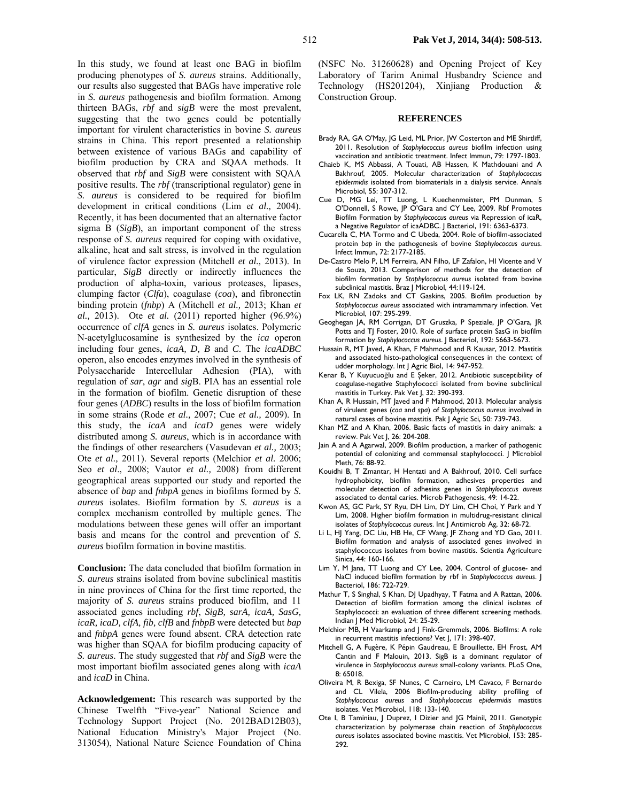In this study, we found at least one BAG in biofilm producing phenotypes of *S. aureus* strains. Additionally, our results also suggested that BAGs have imperative role in *S. aureus* pathogenesis and biofilm formation. Among thirteen BAGs, *rbf* and *sigB* were the most prevalent, suggesting that the two genes could be potentially important for virulent characteristics in bovine *S. aureus* strains in China. This report presented a relationship between existence of various BAGs and capability of biofilm production by CRA and SQAA methods. It observed that *rbf* and *SigB* were consistent with SQAA positive results. The *rbf* (transcriptional regulator) gene in *S. aureus* is considered to be required for biofilm development in critical conditions (Lim e*t al.,* 2004). Recently, it has been documented that an alternative factor sigma B (*SigB*), an important component of the stress response of *S. aureus* required for coping with oxidative, alkaline, heat and salt stress, is involved in the regulation of virulence factor expression (Mitchell *et al.,* 2013). In particular, *SigB* directly or indirectly influences the production of alpha-toxin, various proteases, lipases, clumping factor (*Clfa*), coagulase (*coa*), and fibronectin binding protein (*fnbp*) A (Mitchell *et al.,* 2013; Khan *et al.,* 2013). Ote *et al.* (2011) reported higher (96.9%) occurrence of *clfA* genes in *S. aureus* isolates. Polymeric N-acetylglucosamine is synthesized by the *ica* operon including four genes, *icaA, D, B* and *C*. The *icaADBC* operon, also encodes enzymes involved in the synthesis of Polysaccharide Intercellular Adhesion (PIA), with regulation of *sar*, *agr* and *sig*B. PIA has an essential role in the formation of biofilm. Genetic disruption of these four genes (*ADBC*) results in the loss of biofilm formation in some strains (Rode *et al.,* 2007; Cue *et al.,* 2009). In this study, the *icaA* and *icaD* genes were widely distributed among *S. aureus*, which is in accordance with the findings of other researchers (Vasudevan *et al.,* 2003; Ote *et al.,* 2011). Several reports (Melchior *et al.* 2006; Seo *et al*., 2008; Vautor *et al.,* 2008) from different geographical areas supported our study and reported the absence of *bap* and *fnbpA* genes in biofilms formed by *S. aureus* isolates. Biofilm formation by *S. aureus* is a complex mechanism controlled by multiple genes. The modulations between these genes will offer an important basis and means for the control and prevention of *S. aureus* biofilm formation in bovine mastitis.

**Conclusion:** The data concluded that biofilm formation in *S. aureus* strains isolated from bovine subclinical mastitis in nine provinces of China for the first time reported, the majority of *S. aureus* strains produced biofilm, and 11 associated genes including *rbf*, *SigB, sarA, icaA, SasG, icaR, icaD, clfA, fib, clfB* and *fnbpB* were detected but *bap* and *fnbpA* genes were found absent. CRA detection rate was higher than SQAA for biofilm producing capacity of *S. aureus*. The study suggested that *rbf* and *SigB* were the most important biofilm associated genes along with *icaA* and *icaD* in China.

**Acknowledgement:** This research was supported by the Chinese Twelfth "Five-year" National Science and Technology Support Project (No. 2012BAD12B03), National Education Ministry's Major Project (No. 313054), National Nature Science Foundation of China

(NSFC No. 31260628) and Opening Project of Key Laboratory of Tarim Animal Husbandry Science and Technology (HS201204), Xinjiang Production & Construction Group.

### **REFERENCES**

- Brady RA, GA O'May, JG Leid, ML Prior, JW Costerton and ME Shirtliff, 2011. Resolution of *Staphylococcus aureus* biofilm infection using vaccination and antibiotic treatment. Infect Immun, 79: 1797-1803.
- Chaieb K, MS Abbassi, A Touati, AB Hassen, K Mathdouani and A Bakhrouf, 2005. Molecular characterization of *Staphylococcus epidermidis* isolated from biomaterials in a dialysis service. Annals Microbiol, 55: 307-312.
- Cue D, MG Lei, TT Luong, L Kuechenmeister, PM Dunman, S O'Donnell, S Rowe, JP O'Gara and CY Lee, 2009. Rbf Promotes Biofilm Formation by *Staphylococcus aureus* via Repression of icaR, a Negative Regulator of icaADBC. J Bacteriol, 191: 6363-6373.
- Cucarella C, MA Tormo and C Ubeda, 2004. Role of biofilm-associated protein *bap* in the pathogenesis of bovine *Staphylococcus aureus*. Infect Immun, 72: 2177-2185.
- De-Castro Melo P, LM Ferreira, AN Filho, LF Zafalon, HI Vicente and V de Souza, 2013. Comparison of methods for the detection of biofilm formation by *Staphylococcus aureus* isolated from bovine subclinical mastitis. Braz J Microbiol, 44:119-124.
- Fox LK, RN Zadoks and CT Gaskins, 2005. Biofilm production by *Staphylococcus aureus* associated with intramammary infection. Vet Microbiol, 107: 295-299.
- Geoghegan JA, RM Corrigan, DT Gruszka, P Speziale, JP O'Gara, JR Potts and TJ Foster, 2010. Role of surface protein SasG in biofilm formation by *Staphylococcus aureus*. J Bacteriol, 192: 5663-5673.
- Hussain R, MT Javed, A Khan, F Mahmood and R Kausar, 2012. Mastitis and associated histo-pathological consequences in the context of udder morphology. Int J Agric Biol, 14: 947-952.
- Kenar B, Y Kuyucuoğlu and E Șeker, 2012. Antibiotic susceptibility of coagulase-negative Staphylococci isolated from bovine subclinical mastitis in Turkey. Pak Vet J, 32: 390-393.
- Khan A, R Hussain, MT Javed and F Mahmood, 2013. Molecular analysis of virulent genes (*coa* and *spa*) of *Staphylococcus aureus* involved in natural cases of bovine mastitis. Pak J Agric Sci, 50: 739-743.
- Khan MZ and A Khan, 2006. Basic facts of mastitis in dairy animals: a review. Pak Vet J, 26: 204-208.
- Jain A and A Agarwal, 2009. Biofilm production, a marker of pathogenic potential of colonizing and commensal staphylococci. J Microbiol Meth, 76: 88-92.
- Kouidhi B, T Zmantar, H Hentati and A Bakhrouf, 2010. Cell surface hydrophobicity, biofilm formation, adhesives properties and molecular detection of adhesins genes in *Staphylococcus aureus* associated to dental caries. Microb Pathogenesis, 49: 14-22.
- Kwon AS, GC Park, SY Ryu, DH Lim, DY Lim, CH Choi, Y Park and Y Lim, 2008. Higher biofilm formation in multidrug-resistant clinical isolates of *Staphylococcus aureus*. Int J Antimicrob Ag, 32: 68-72.
- Li L, HJ Yang, DC Liu, HB He, CF Wang, JF Zhong and YD Gao, 2011. Biofilm formation and analysis of associated genes involved in staphylococcus isolates from bovine mastitis. Scientia Agriculture Sinica, 44: 160-166.
- Lim Y, M Jana, TT Luong and CY Lee, 2004. Control of glucose- and NaCl induced biofilm formation by rbf in *Staphylococcus aureus*. J Bacteriol, 186: 722-729.
- Mathur T, S Singhal, S Khan, DJ Upadhyay, T Fatma and A Rattan, 2006. Detection of biofilm formation among the clinical isolates of Staphylococci: an evaluation of three different screening methods. Indian J Med Microbiol, 24: 25-29.
- Melchior MB, H Vaarkamp and J Fink-Gremmels, 2006. Biofilms: A role in recurrent mastitis infections? Vet J, 171: 398-407.
- Mitchell G, A Fugère, K Pépin Gaudreau, E Brouillette, EH Frost, AM Cantin and F Malouin, 2013. SigB is a dominant regulator of virulence in *Staphylococcus aureus* small-colony variants. PLoS One, 8: 65018.
- Oliveira M, R Bexiga, SF Nunes, C Carneiro, LM Cavaco, F Bernardo and CL Vilela, 2006 Biofilm-producing ability profiling of *Staphylococcus aureus* and *Staphylococcus epidermidis* mastitis isolates. Vet Microbiol, 118: 133-140.
- Ote I, B Taminiau, J Duprez, I Dizier and JG Mainil, 2011. Genotypic characterization by polymerase chain reaction of *Staphylococcus aureus* isolates associated bovine mastitis. Vet Microbiol, 153: 285- 292.